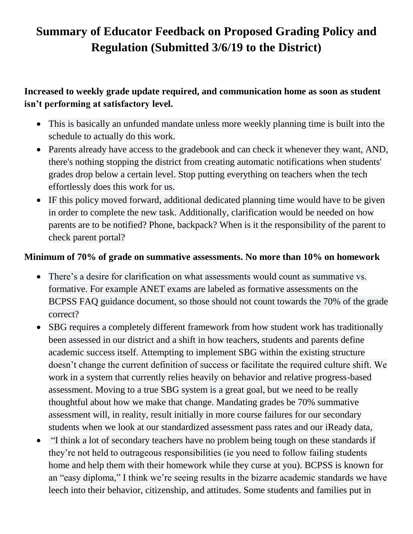# **Summary of Educator Feedback on Proposed Grading Policy and Regulation (Submitted 3/6/19 to the District)**

## **Increased to weekly grade update required, and communication home as soon as student isn't performing at satisfactory level.**

- This is basically an unfunded mandate unless more weekly planning time is built into the schedule to actually do this work.
- Parents already have access to the gradebook and can check it whenever they want, AND, there's nothing stopping the district from creating automatic notifications when students' grades drop below a certain level. Stop putting everything on teachers when the tech effortlessly does this work for us.
- IF this policy moved forward, additional dedicated planning time would have to be given in order to complete the new task. Additionally, clarification would be needed on how parents are to be notified? Phone, backpack? When is it the responsibility of the parent to check parent portal?

#### **Minimum of 70% of grade on summative assessments. No more than 10% on homework**

- There's a desire for clarification on what assessments would count as summative vs. formative. For example ANET exams are labeled as formative assessments on the BCPSS FAQ guidance document, so those should not count towards the 70% of the grade correct?
- SBG requires a completely different framework from how student work has traditionally been assessed in our district and a shift in how teachers, students and parents define academic success itself. Attempting to implement SBG within the existing structure doesn't change the current definition of success or facilitate the required culture shift. We work in a system that currently relies heavily on behavior and relative progress-based assessment. Moving to a true SBG system is a great goal, but we need to be really thoughtful about how we make that change. Mandating grades be 70% summative assessment will, in reality, result initially in more course failures for our secondary students when we look at our standardized assessment pass rates and our iReady data,
- "I think a lot of secondary teachers have no problem being tough on these standards if they're not held to outrageous responsibilities (ie you need to follow failing students home and help them with their homework while they curse at you). BCPSS is known for an "easy diploma," I think we're seeing results in the bizarre academic standards we have leech into their behavior, citizenship, and attitudes. Some students and families put in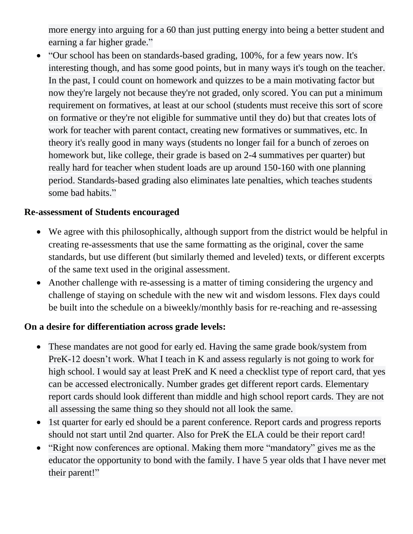more energy into arguing for a 60 than just putting energy into being a better student and earning a far higher grade."

 "Our school has been on standards-based grading, 100%, for a few years now. It's interesting though, and has some good points, but in many ways it's tough on the teacher. In the past, I could count on homework and quizzes to be a main motivating factor but now they're largely not because they're not graded, only scored. You can put a minimum requirement on formatives, at least at our school (students must receive this sort of score on formative or they're not eligible for summative until they do) but that creates lots of work for teacher with parent contact, creating new formatives or summatives, etc. In theory it's really good in many ways (students no longer fail for a bunch of zeroes on homework but, like college, their grade is based on 2-4 summatives per quarter) but really hard for teacher when student loads are up around 150-160 with one planning period. Standards-based grading also eliminates late penalties, which teaches students some bad habits."

#### **Re-assessment of Students encouraged**

- We agree with this philosophically, although support from the district would be helpful in creating re-assessments that use the same formatting as the original, cover the same standards, but use different (but similarly themed and leveled) texts, or different excerpts of the same text used in the original assessment.
- Another challenge with re-assessing is a matter of timing considering the urgency and challenge of staying on schedule with the new wit and wisdom lessons. Flex days could be built into the schedule on a biweekly/monthly basis for re-reaching and re-assessing

#### **On a desire for differentiation across grade levels:**

- These mandates are not good for early ed. Having the same grade book/system from PreK-12 doesn't work. What I teach in K and assess regularly is not going to work for high school. I would say at least PreK and K need a checklist type of report card, that yes can be accessed electronically. Number grades get different report cards. Elementary report cards should look different than middle and high school report cards. They are not all assessing the same thing so they should not all look the same.
- 1st quarter for early ed should be a parent conference. Report cards and progress reports should not start until 2nd quarter. Also for PreK the ELA could be their report card!
- "Right now conferences are optional. Making them more "mandatory" gives me as the educator the opportunity to bond with the family. I have 5 year olds that I have never met their parent!"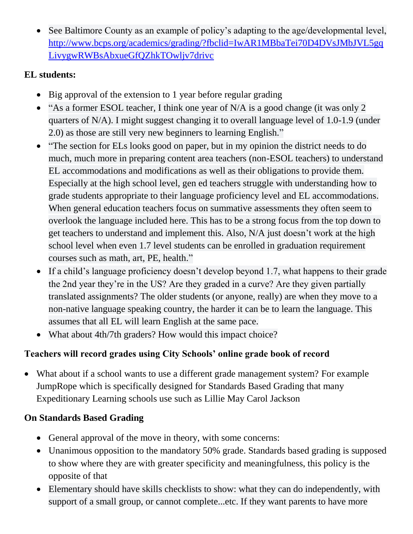See Baltimore County as an example of policy's adapting to the age/developmental level, [http://www.bcps.org/academics/grading/?fbclid=IwAR1MBbaTei70D4DVsJMbJVL5gq](http://www.bcps.org/academics/grading/?fbclid=IwAR1MBbaTei70D4DVsJMbJVL5gqLivygwRWBsAbxueGfQZhkTOwljv7drivc) [LivygwRWBsAbxueGfQZhkTOwljv7drivc](http://www.bcps.org/academics/grading/?fbclid=IwAR1MBbaTei70D4DVsJMbJVL5gqLivygwRWBsAbxueGfQZhkTOwljv7drivc)

### **EL students:**

- Big approval of the extension to 1 year before regular grading
- "As a former ESOL teacher, I think one year of N/A is a good change (it was only 2) quarters of N/A). I might suggest changing it to overall language level of 1.0-1.9 (under 2.0) as those are still very new beginners to learning English."
- "The section for ELs looks good on paper, but in my opinion the district needs to do much, much more in preparing content area teachers (non-ESOL teachers) to understand EL accommodations and modifications as well as their obligations to provide them. Especially at the high school level, gen ed teachers struggle with understanding how to grade students appropriate to their language proficiency level and EL accommodations. When general education teachers focus on summative assessments they often seem to overlook the language included here. This has to be a strong focus from the top down to get teachers to understand and implement this. Also, N/A just doesn't work at the high school level when even 1.7 level students can be enrolled in graduation requirement courses such as math, art, PE, health."
- If a child's language proficiency doesn't develop beyond 1.7, what happens to their grade the 2nd year they're in the US? Are they graded in a curve? Are they given partially translated assignments? The older students (or anyone, really) are when they move to a non-native language speaking country, the harder it can be to learn the language. This assumes that all EL will learn English at the same pace.
- What about 4th/7th graders? How would this impact choice?

## **Teachers will record grades using City Schools' online grade book of record**

 What about if a school wants to use a different grade management system? For example JumpRope which is specifically designed for Standards Based Grading that many Expeditionary Learning schools use such as Lillie May Carol Jackson

## **On Standards Based Grading**

- General approval of the move in theory, with some concerns:
- Unanimous opposition to the mandatory 50% grade. Standards based grading is supposed to show where they are with greater specificity and meaningfulness, this policy is the opposite of that
- Elementary should have skills checklists to show: what they can do independently, with support of a small group, or cannot complete...etc. If they want parents to have more